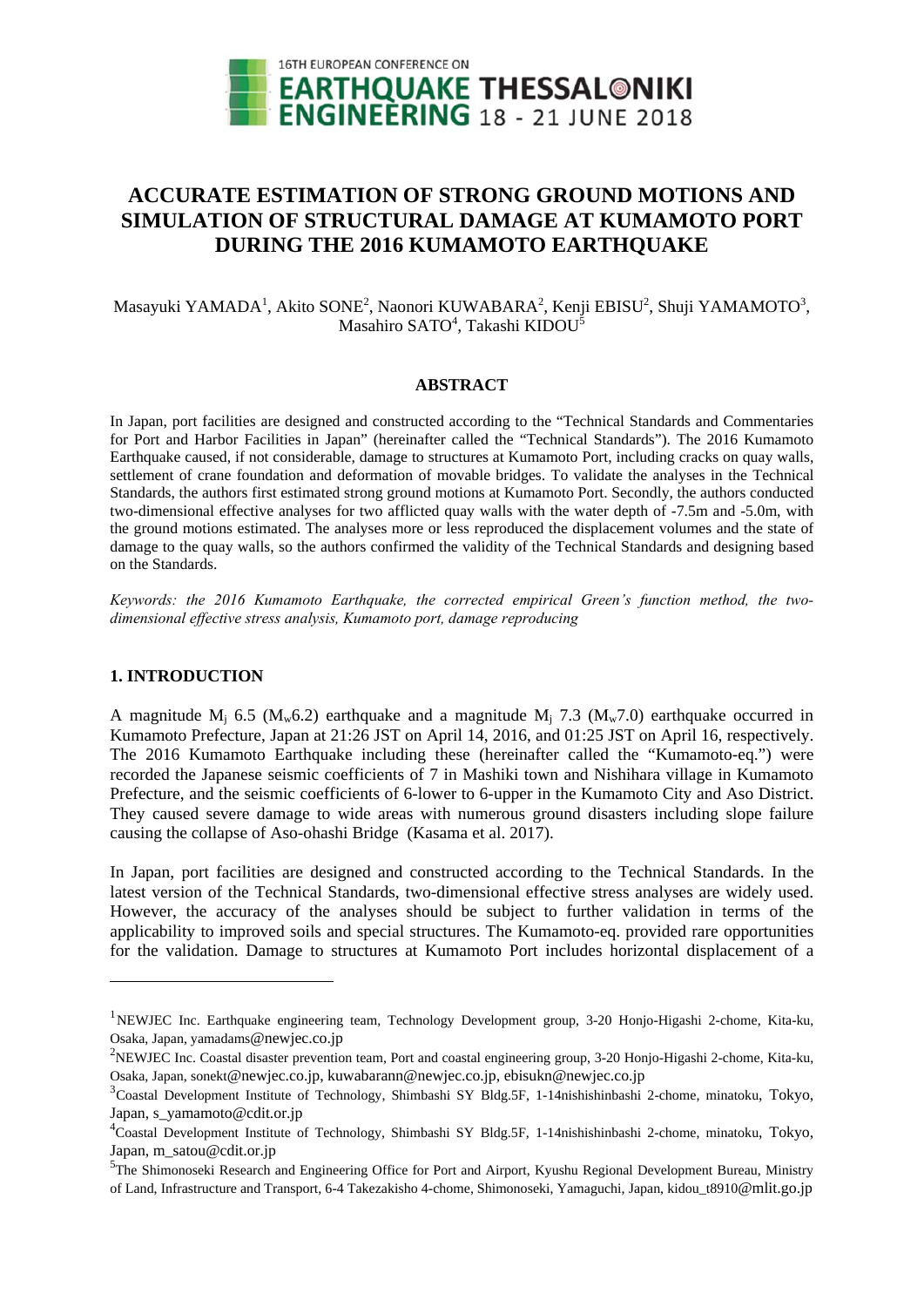

# **ACCURATE ESTIMATION OF STRONG GROUND MOTIONS AND SIMULATION OF STRUCTURAL DAMAGE AT KUMAMOTO PORT DURING THE 2016 KUMAMOTO EARTHQUAKE**

Masayuki YAMADA<sup>1</sup>, Akito SONE<sup>2</sup>, Naonori KUWABARA<sup>2</sup>, Kenji EBISU<sup>2</sup>, Shuji YAMAMOTO<sup>3</sup>, Masahiro SATO<sup>4</sup>, Takashi KIDOU<sup>5</sup>

# **ABSTRACT**

In Japan, port facilities are designed and constructed according to the "Technical Standards and Commentaries for Port and Harbor Facilities in Japan" (hereinafter called the "Technical Standards"). The 2016 Kumamoto Earthquake caused, if not considerable, damage to structures at Kumamoto Port, including cracks on quay walls, settlement of crane foundation and deformation of movable bridges. To validate the analyses in the Technical Standards, the authors first estimated strong ground motions at Kumamoto Port. Secondly, the authors conducted two-dimensional effective analyses for two afflicted quay walls with the water depth of -7.5m and -5.0m, with the ground motions estimated. The analyses more or less reproduced the displacement volumes and the state of damage to the quay walls, so the authors confirmed the validity of the Technical Standards and designing based on the Standards.

*Keywords: the 2016 Kumamoto Earthquake, the corrected empirical Green's function method, the twodimensional effective stress analysis, Kumamoto port, damage reproducing* 

### **1. INTRODUCTION**

1

A magnitude  $M_i$  6.5 ( $M_w$ 6.2) earthquake and a magnitude  $M_i$  7.3 ( $M_w$ 7.0) earthquake occurred in Kumamoto Prefecture, Japan at 21:26 JST on April 14, 2016, and 01:25 JST on April 16, respectively. The 2016 Kumamoto Earthquake including these (hereinafter called the "Kumamoto-eq.") were recorded the Japanese seismic coefficients of 7 in Mashiki town and Nishihara village in Kumamoto Prefecture, and the seismic coefficients of 6-lower to 6-upper in the Kumamoto City and Aso District. They caused severe damage to wide areas with numerous ground disasters including slope failure causing the collapse of Aso-ohashi Bridge (Kasama et al. 2017).

In Japan, port facilities are designed and constructed according to the Technical Standards. In the latest version of the Technical Standards, two-dimensional effective stress analyses are widely used. However, the accuracy of the analyses should be subject to further validation in terms of the applicability to improved soils and special structures. The Kumamoto-eq. provided rare opportunities for the validation. Damage to structures at Kumamoto Port includes horizontal displacement of a

<sup>&</sup>lt;sup>1</sup>NEWJEC Inc. Earthquake engineering team, Technology Development group, 3-20 Honjo-Higashi 2-chome, Kita-ku, Osaka, Japan, yamadams@newjec.co.jp

<sup>&</sup>lt;sup>2</sup>NEWJEC Inc. Coastal disaster prevention team, Port and coastal engineering group, 3-20 Honjo-Higashi 2-chome, Kita-ku, Osaka, Japan, sonekt@newjec.co.jp, kuwabarann@newjec.co.jp, ebisukn@newjec.co.jp

<sup>&</sup>lt;sup>3</sup>Coastal Development Institute of Technology, Shimbashi SY Bldg.5F, 1-14nishishinbashi 2-chome, minatoku, Tokyo, Japan, s\_yamamoto@cdit.or.jp

<sup>4</sup> Coastal Development Institute of Technology, Shimbashi SY Bldg.5F, 1-14nishishinbashi 2-chome, minatoku, Tokyo, Japan, m\_satou@cdit.or.jp

<sup>&</sup>lt;sup>5</sup>The Shimonoseki Research and Engineering Office for Port and Airport, Kyushu Regional Development Bureau, Ministry of Land, Infrastructure and Transport, 6-4 Takezakisho 4-chome, Shimonoseki, Yamaguchi, Japan, kidou\_t8910@mlit.go.jp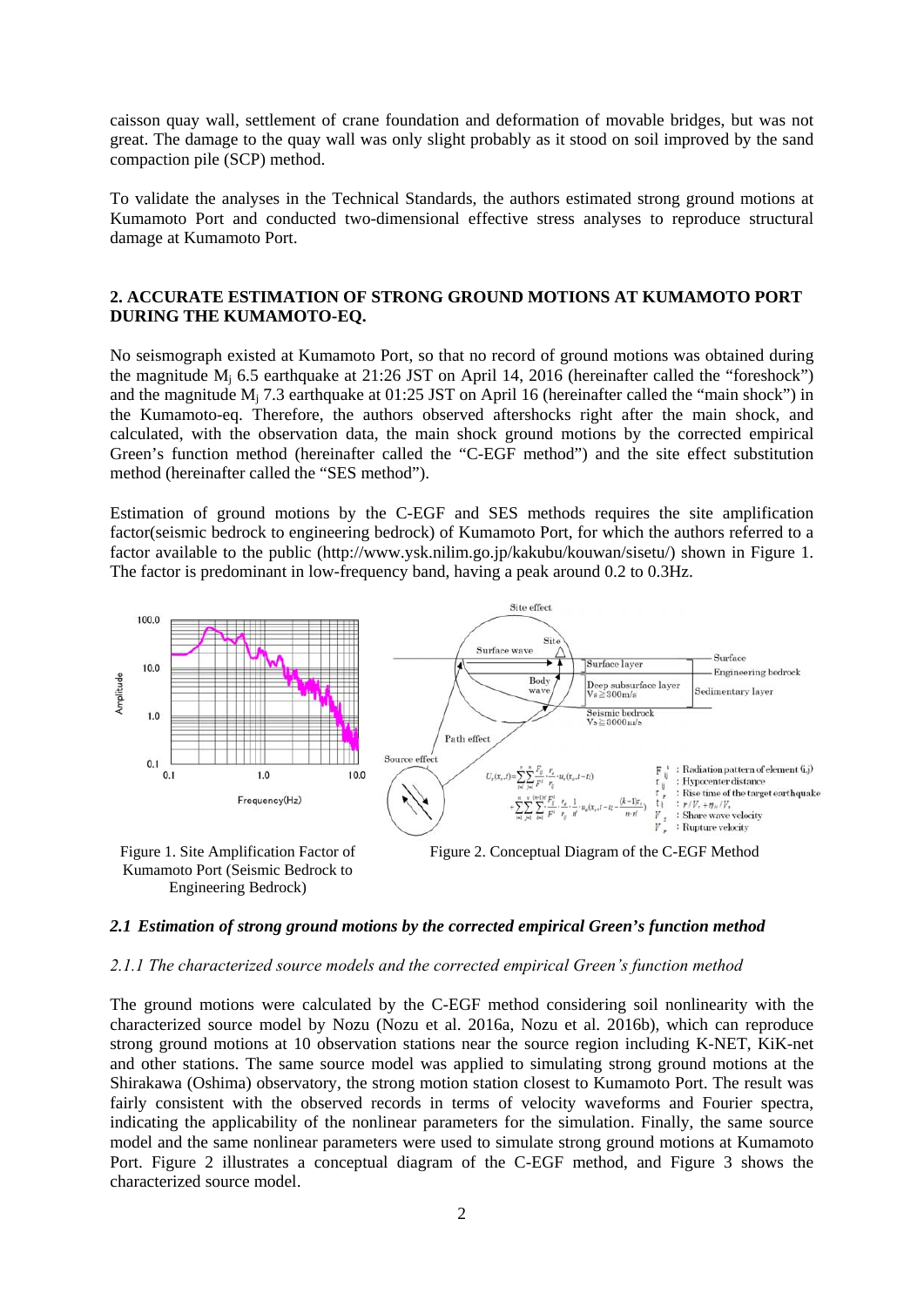caisson quay wall, settlement of crane foundation and deformation of movable bridges, but was not great. The damage to the quay wall was only slight probably as it stood on soil improved by the sand compaction pile (SCP) method.

To validate the analyses in the Technical Standards, the authors estimated strong ground motions at Kumamoto Port and conducted two-dimensional effective stress analyses to reproduce structural damage at Kumamoto Port.

# **2. ACCURATE ESTIMATION OF STRONG GROUND MOTIONS AT KUMAMOTO PORT DURING THE KUMAMOTO-EQ.**

No seismograph existed at Kumamoto Port, so that no record of ground motions was obtained during the magnitude  $M_i$  6.5 earthquake at 21:26 JST on April 14, 2016 (hereinafter called the "foreshock") and the magnitude  $M_i$  7.3 earthquake at 01:25 JST on April 16 (hereinafter called the "main shock") in the Kumamoto-eq. Therefore, the authors observed aftershocks right after the main shock, and calculated, with the observation data, the main shock ground motions by the corrected empirical Green's function method (hereinafter called the "C-EGF method") and the site effect substitution method (hereinafter called the "SES method").

Estimation of ground motions by the C-EGF and SES methods requires the site amplification factor(seismic bedrock to engineering bedrock) of Kumamoto Port, for which the authors referred to a factor available to the public (http://www.ysk.nilim.go.jp/kakubu/kouwan/sisetu/) shown in Figure 1. The factor is predominant in low-frequency band, having a peak around 0.2 to 0.3Hz.



Kumamoto Port (Seismic Bedrock to Engineering Bedrock)

#### *2.1 Estimation of strong ground motions by the corrected empirical Green's function method*

#### *2.1.1 The characterized source models and the corrected empirical Green's function method*

The ground motions were calculated by the C-EGF method considering soil nonlinearity with the characterized source model by Nozu (Nozu et al. 2016a, Nozu et al. 2016b), which can reproduce strong ground motions at 10 observation stations near the source region including K-NET, KiK-net and other stations. The same source model was applied to simulating strong ground motions at the Shirakawa (Oshima) observatory, the strong motion station closest to Kumamoto Port. The result was fairly consistent with the observed records in terms of velocity waveforms and Fourier spectra, indicating the applicability of the nonlinear parameters for the simulation. Finally, the same source model and the same nonlinear parameters were used to simulate strong ground motions at Kumamoto Port. Figure 2 illustrates a conceptual diagram of the C-EGF method, and Figure 3 shows the characterized source model.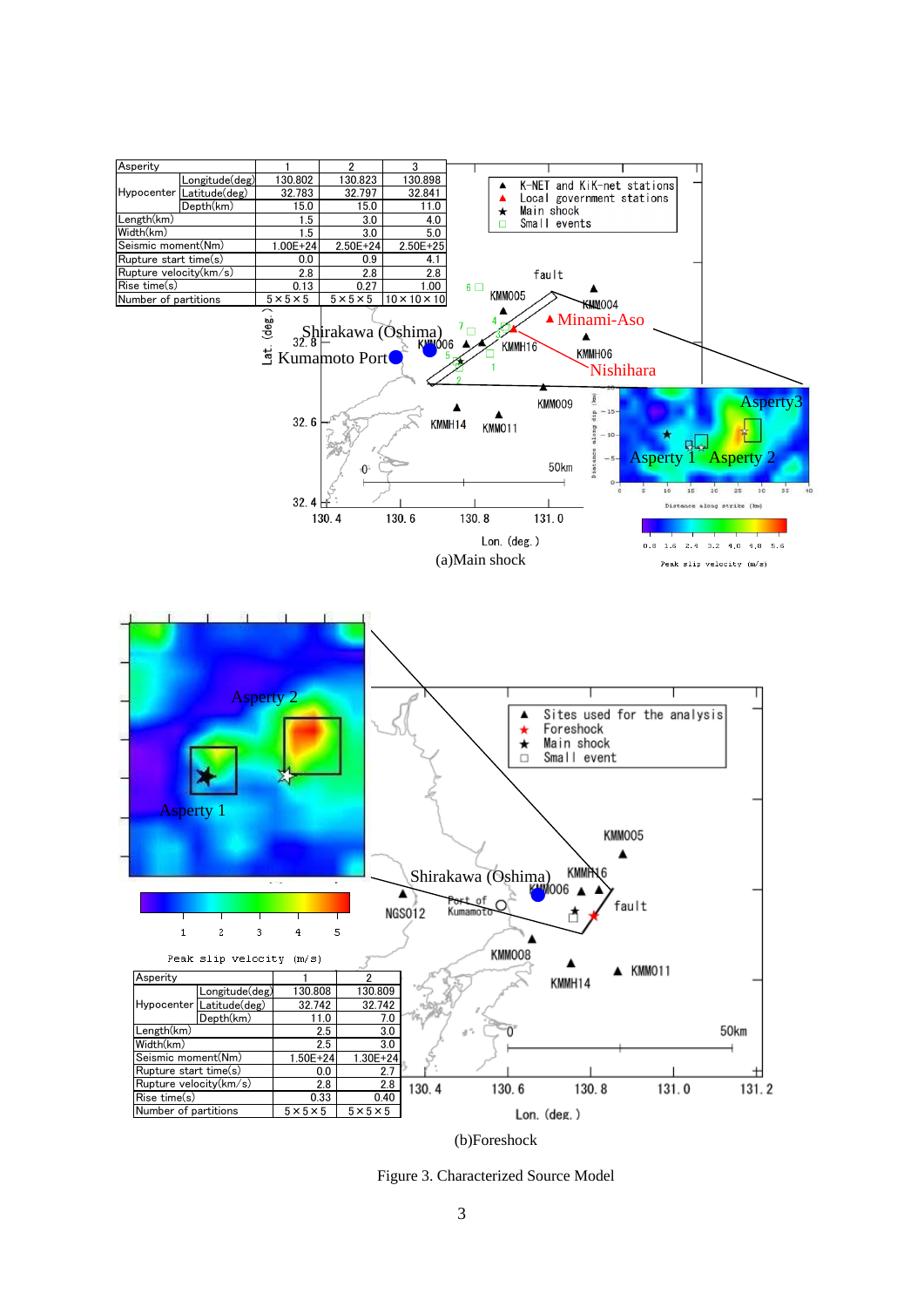

(b)Foreshock

Figure 3. Characterized Source Model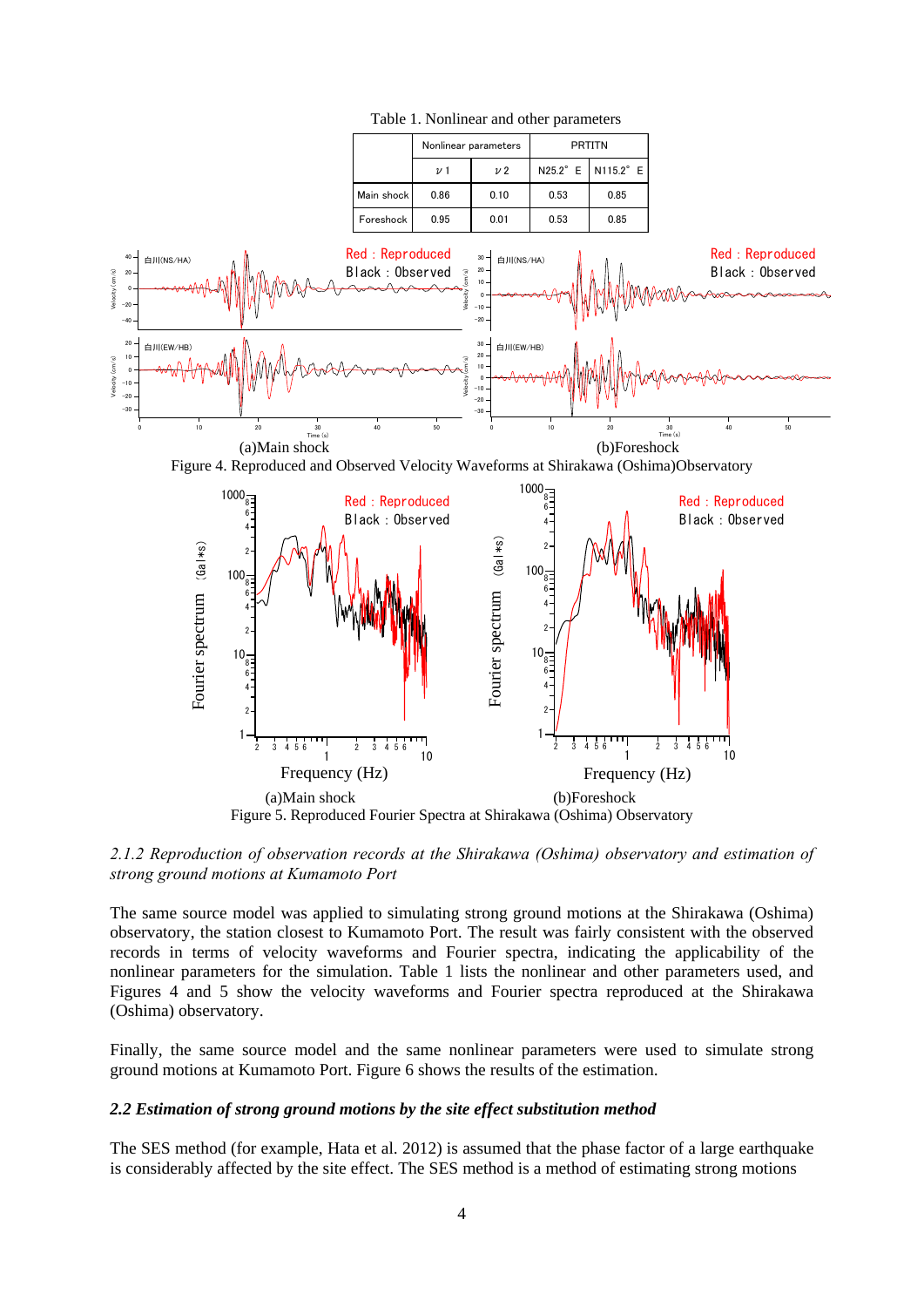

Table 1. Nonlinear and other parameters

*2.1.2 Reproduction of observation records at the Shirakawa (Oshima) observatory and estimation of strong ground motions at Kumamoto Port* 

The same source model was applied to simulating strong ground motions at the Shirakawa (Oshima) observatory, the station closest to Kumamoto Port. The result was fairly consistent with the observed records in terms of velocity waveforms and Fourier spectra, indicating the applicability of the nonlinear parameters for the simulation. Table 1 lists the nonlinear and other parameters used, and Figures 4 and 5 show the velocity waveforms and Fourier spectra reproduced at the Shirakawa (Oshima) observatory.

Finally, the same source model and the same nonlinear parameters were used to simulate strong ground motions at Kumamoto Port. Figure 6 shows the results of the estimation.

#### *2.2 Estimation of strong ground motions by the site effect substitution method*

The SES method (for example, Hata et al. 2012) is assumed that the phase factor of a large earthquake is considerably affected by the site effect. The SES method is a method of estimating strong motions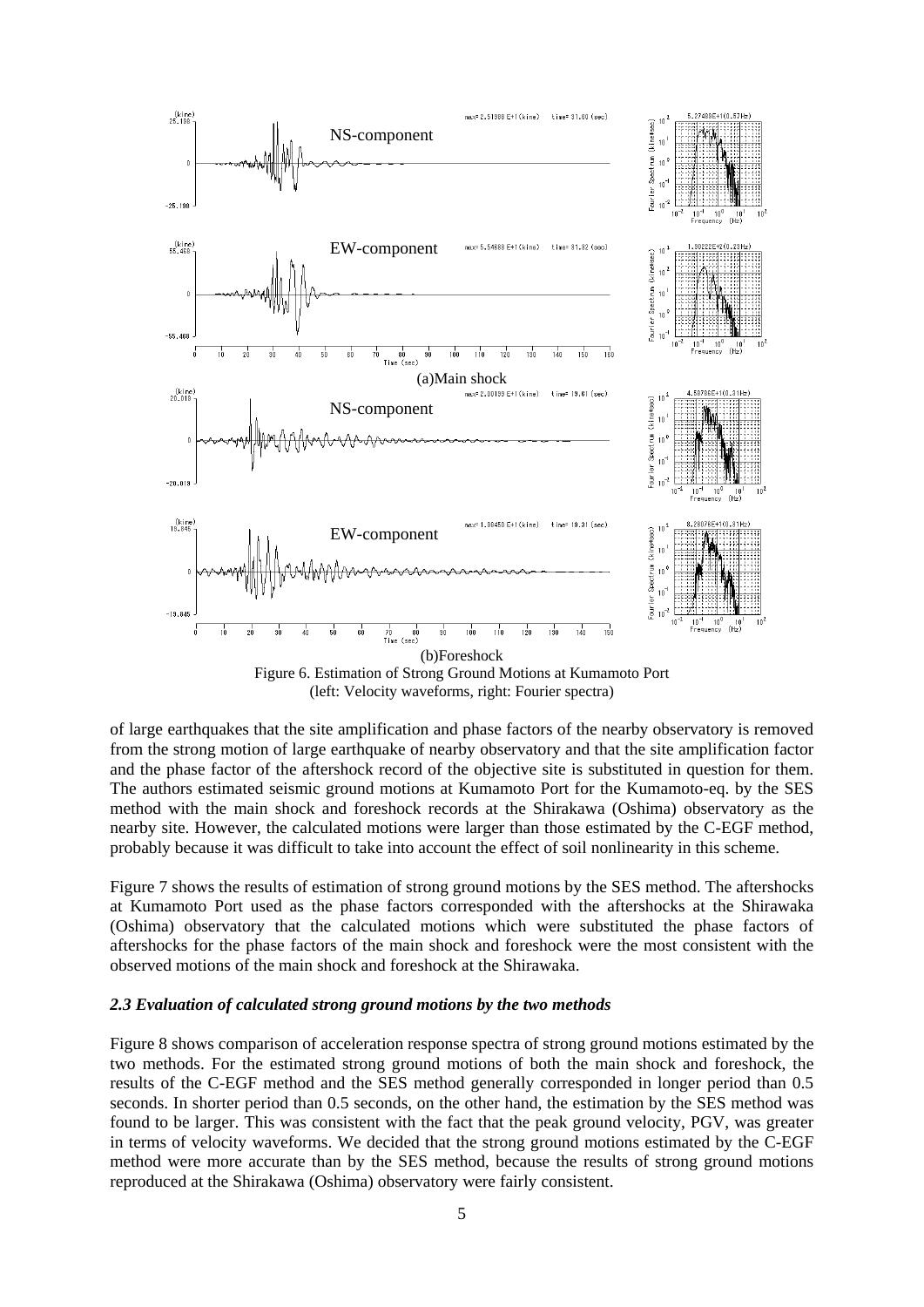

Figure 6. Estimation of Strong Ground Motions at Kumamoto Port (left: Velocity waveforms, right: Fourier spectra)

of large earthquakes that the site amplification and phase factors of the nearby observatory is removed from the strong motion of large earthquake of nearby observatory and that the site amplification factor and the phase factor of the aftershock record of the objective site is substituted in question for them. The authors estimated seismic ground motions at Kumamoto Port for the Kumamoto-eq. by the SES method with the main shock and foreshock records at the Shirakawa (Oshima) observatory as the nearby site. However, the calculated motions were larger than those estimated by the C-EGF method, probably because it was difficult to take into account the effect of soil nonlinearity in this scheme.

Figure 7 shows the results of estimation of strong ground motions by the SES method. The aftershocks at Kumamoto Port used as the phase factors corresponded with the aftershocks at the Shirawaka (Oshima) observatory that the calculated motions which were substituted the phase factors of aftershocks for the phase factors of the main shock and foreshock were the most consistent with the observed motions of the main shock and foreshock at the Shirawaka.

#### *2.3 Evaluation of calculated strong ground motions by the two methods*

Figure 8 shows comparison of acceleration response spectra of strong ground motions estimated by the two methods. For the estimated strong ground motions of both the main shock and foreshock, the results of the C-EGF method and the SES method generally corresponded in longer period than 0.5 seconds. In shorter period than 0.5 seconds, on the other hand, the estimation by the SES method was found to be larger. This was consistent with the fact that the peak ground velocity, PGV, was greater in terms of velocity waveforms. We decided that the strong ground motions estimated by the C-EGF method were more accurate than by the SES method, because the results of strong ground motions reproduced at the Shirakawa (Oshima) observatory were fairly consistent.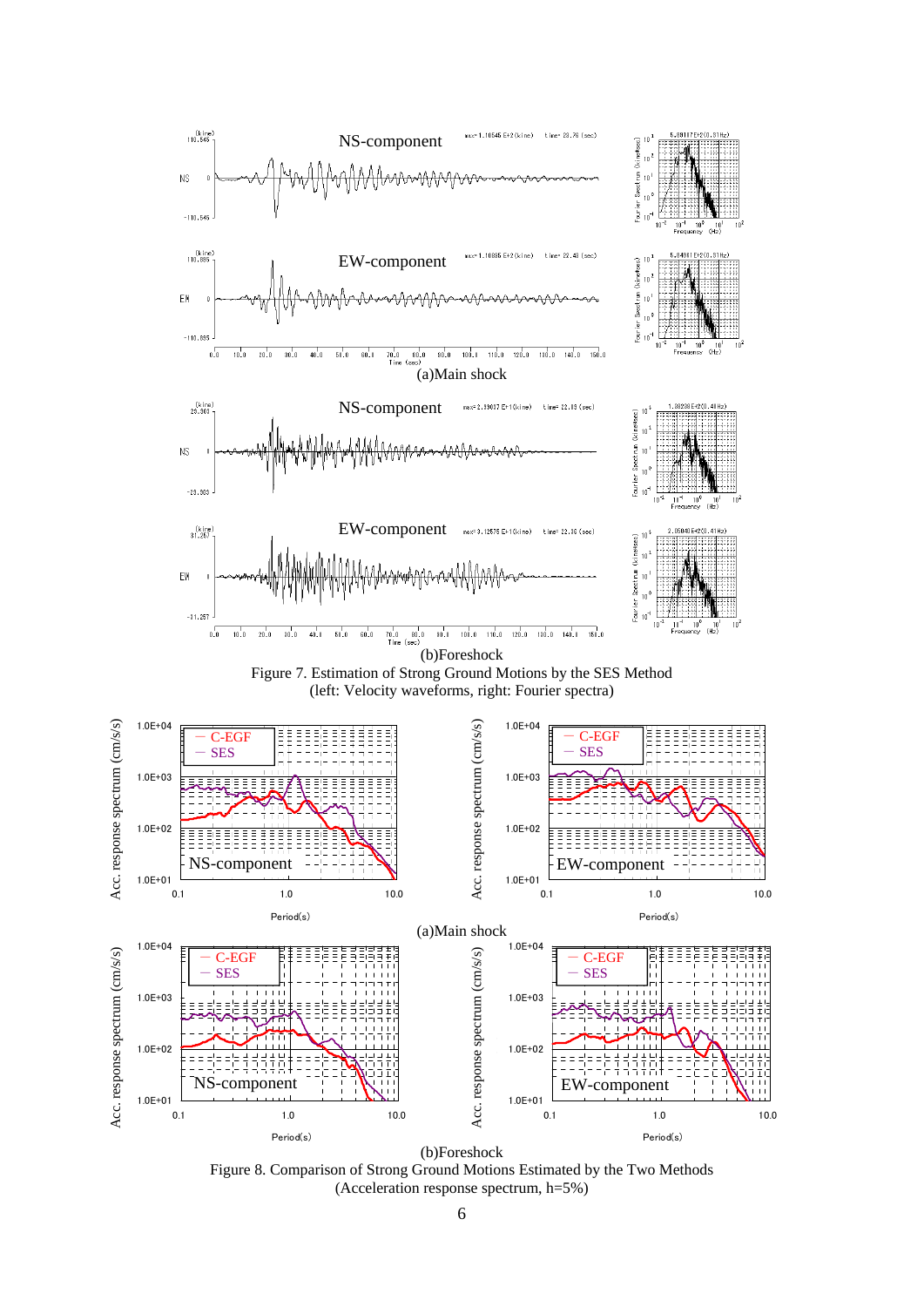



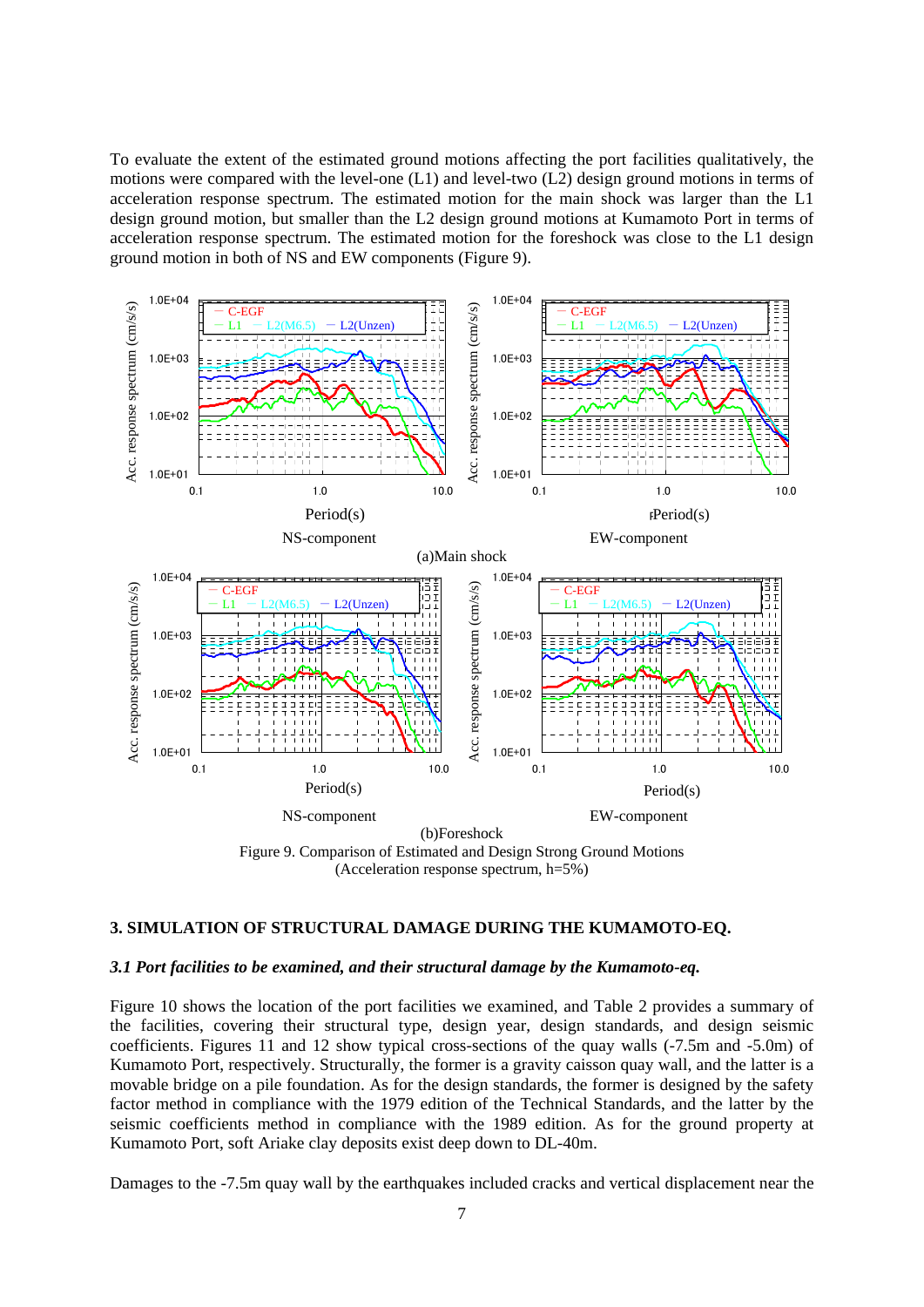To evaluate the extent of the estimated ground motions affecting the port facilities qualitatively, the motions were compared with the level-one (L1) and level-two (L2) design ground motions in terms of acceleration response spectrum. The estimated motion for the main shock was larger than the L1 design ground motion, but smaller than the L2 design ground motions at Kumamoto Port in terms of acceleration response spectrum. The estimated motion for the foreshock was close to the L1 design ground motion in both of NS and EW components (Figure 9).



### **3. SIMULATION OF STRUCTURAL DAMAGE DURING THE KUMAMOTO-EQ.**

#### *3.1 Port facilities to be examined, and their structural damage by the Kumamoto-eq.*

Figure 10 shows the location of the port facilities we examined, and Table 2 provides a summary of the facilities, covering their structural type, design year, design standards, and design seismic coefficients. Figures 11 and 12 show typical cross-sections of the quay walls (-7.5m and -5.0m) of Kumamoto Port, respectively. Structurally, the former is a gravity caisson quay wall, and the latter is a movable bridge on a pile foundation. As for the design standards, the former is designed by the safety factor method in compliance with the 1979 edition of the Technical Standards, and the latter by the seismic coefficients method in compliance with the 1989 edition. As for the ground property at Kumamoto Port, soft Ariake clay deposits exist deep down to DL-40m.

Damages to the -7.5m quay wall by the earthquakes included cracks and vertical displacement near the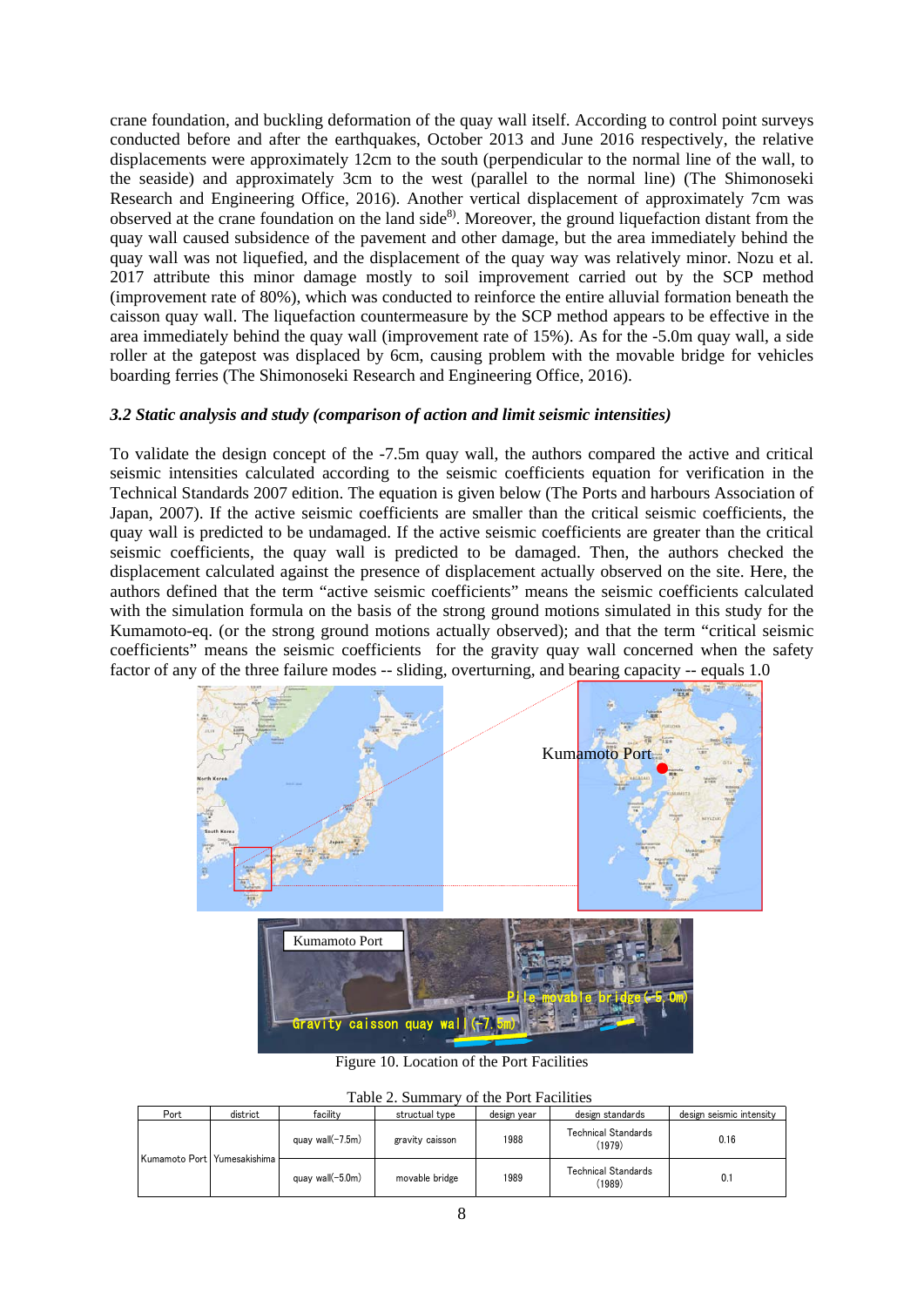crane foundation, and buckling deformation of the quay wall itself. According to control point surveys conducted before and after the earthquakes, October 2013 and June 2016 respectively, the relative displacements were approximately 12cm to the south (perpendicular to the normal line of the wall, to the seaside) and approximately 3cm to the west (parallel to the normal line) (The Shimonoseki Research and Engineering Office, 2016). Another vertical displacement of approximately 7cm was observed at the crane foundation on the land side<sup>8)</sup>. Moreover, the ground liquefaction distant from the quay wall caused subsidence of the pavement and other damage, but the area immediately behind the quay wall was not liquefied, and the displacement of the quay way was relatively minor. Nozu et al. 2017 attribute this minor damage mostly to soil improvement carried out by the SCP method (improvement rate of 80%), which was conducted to reinforce the entire alluvial formation beneath the caisson quay wall. The liquefaction countermeasure by the SCP method appears to be effective in the area immediately behind the quay wall (improvement rate of 15%). As for the -5.0m quay wall, a side roller at the gatepost was displaced by 6cm, causing problem with the movable bridge for vehicles boarding ferries (The Shimonoseki Research and Engineering Office, 2016).

# *3.2 Static analysis and study (comparison of action and limit seismic intensities)*

To validate the design concept of the -7.5m quay wall, the authors compared the active and critical seismic intensities calculated according to the seismic coefficients equation for verification in the Technical Standards 2007 edition. The equation is given below (The Ports and harbours Association of Japan, 2007). If the active seismic coefficients are smaller than the critical seismic coefficients, the quay wall is predicted to be undamaged. If the active seismic coefficients are greater than the critical seismic coefficients, the quay wall is predicted to be damaged. Then, the authors checked the displacement calculated against the presence of displacement actually observed on the site. Here, the authors defined that the term "active seismic coefficients" means the seismic coefficients calculated with the simulation formula on the basis of the strong ground motions simulated in this study for the Kumamoto-eq. (or the strong ground motions actually observed); and that the term "critical seismic coefficients" means the seismic coefficients for the gravity quay wall concerned when the safety factor of any of the three failure modes -- sliding, overturning, and bearing capacity -- equals 1.0



Figure 10. Location of the Port Facilities

|  | Table 2. Summary of the Port Facilities |  |  |  |
|--|-----------------------------------------|--|--|--|
|--|-----------------------------------------|--|--|--|

|  | Port                          | district            | facility            | structual type | design year                          | design standards                     | design seismic intensity |
|--|-------------------------------|---------------------|---------------------|----------------|--------------------------------------|--------------------------------------|--------------------------|
|  |                               | quay wall $(-7.5m)$ | gravity caisson     | 1988           | <b>Technical Standards</b><br>(1979) | 0.16                                 |                          |
|  | Kumamoto Port Yumesakishima h |                     | quay wall $(-5.0m)$ | movable bridge | 1989                                 | <b>Technical Standards</b><br>(1989) | 0.1                      |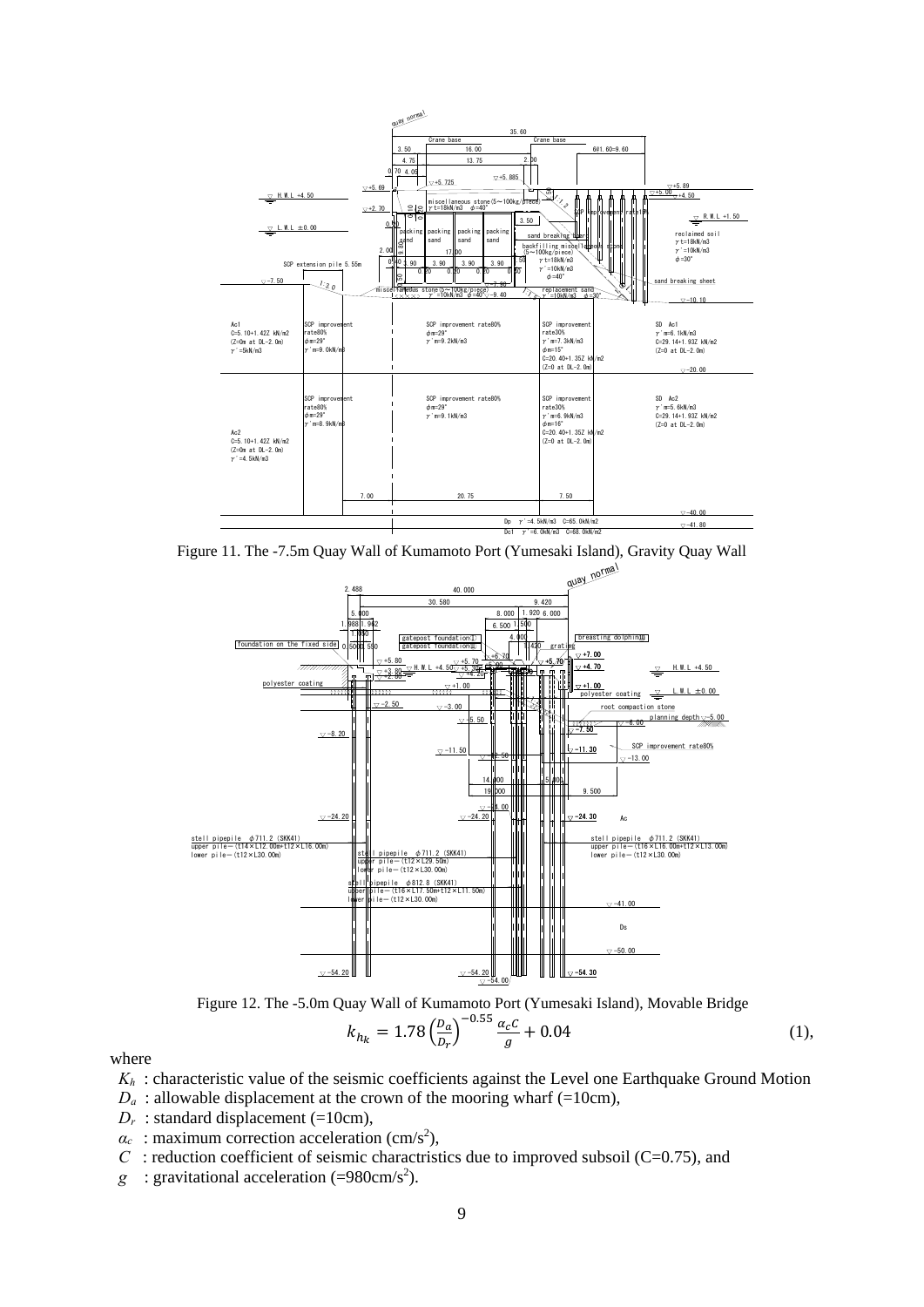

Figure 11. The -7.5m Quay Wall of Kumamoto Port (Yumesaki Island), Gravity Quay Wall



Figure 12. The -5.0m Quay Wall of Kumamoto Port (Yumesaki Island), Movable Bridge

$$
k_{h_k} = 1.78 \left(\frac{p_a}{p_r}\right)^{-0.55} \frac{\alpha_c c}{g} + 0.04 \tag{1},
$$

where

- *Kh* : characteristic value of the seismic coefficients against the Level one Earthquake Ground Motion
- $D_a$ : allowable displacement at the crown of the mooring wharf (=10cm),
- $D_r$ : standard displacement (=10cm),
- $\alpha_c$ : maximum correction acceleration (cm/s<sup>2</sup>),
- *C* : reduction coefficient of seismic charactristics due to improved subsoil (C=0.75), and
- $g$  : gravitational acceleration (=980cm/s<sup>2</sup>).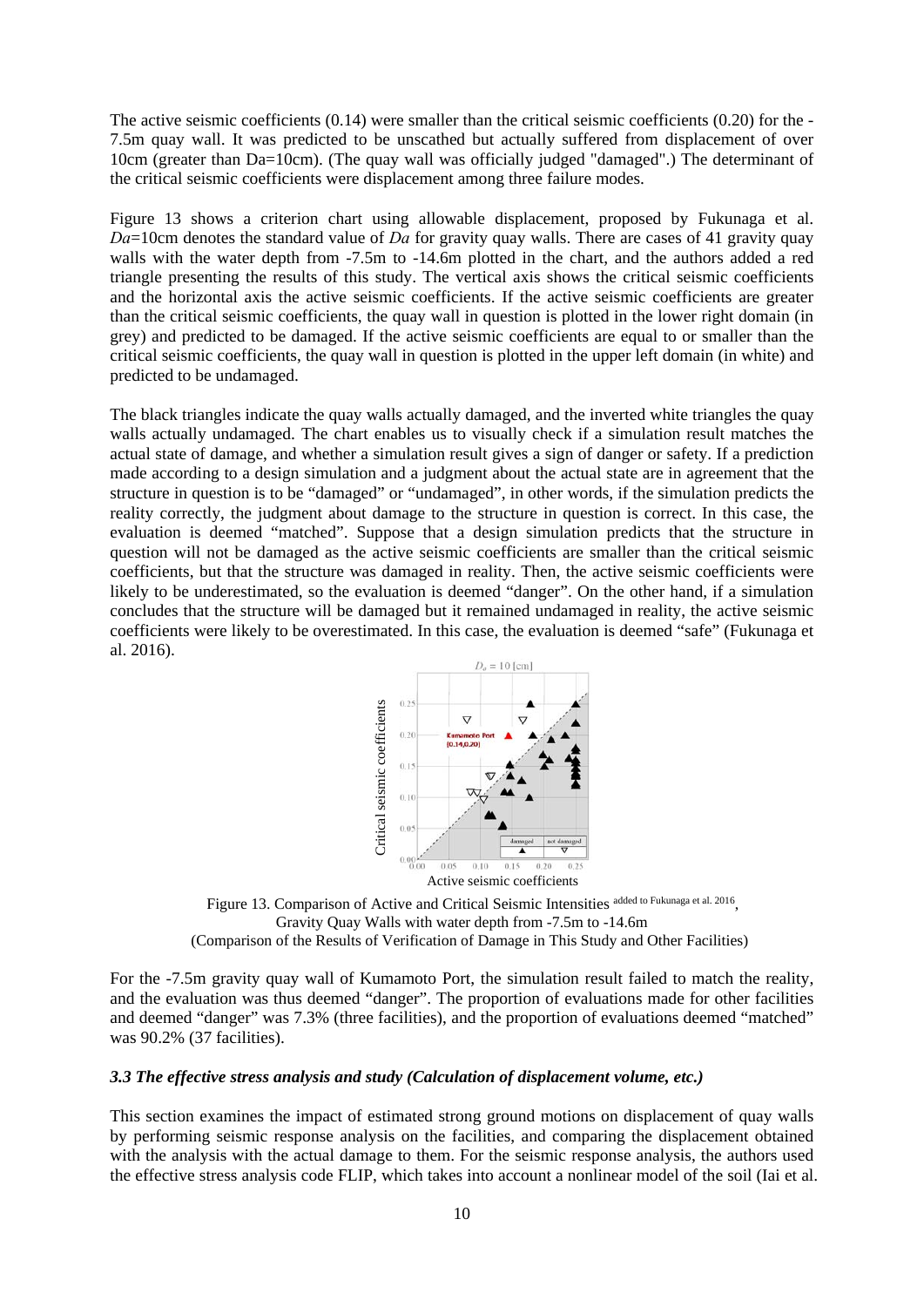The active seismic coefficients  $(0.14)$  were smaller than the critical seismic coefficients  $(0.20)$  for the -7.5m quay wall. It was predicted to be unscathed but actually suffered from displacement of over 10cm (greater than Da=10cm). (The quay wall was officially judged "damaged".) The determinant of the critical seismic coefficients were displacement among three failure modes.

Figure 13 shows a criterion chart using allowable displacement, proposed by Fukunaga et al. *Da*=10cm denotes the standard value of *Da* for gravity quay walls. There are cases of 41 gravity quay walls with the water depth from -7.5m to -14.6m plotted in the chart, and the authors added a red triangle presenting the results of this study. The vertical axis shows the critical seismic coefficients and the horizontal axis the active seismic coefficients. If the active seismic coefficients are greater than the critical seismic coefficients, the quay wall in question is plotted in the lower right domain (in grey) and predicted to be damaged. If the active seismic coefficients are equal to or smaller than the critical seismic coefficients, the quay wall in question is plotted in the upper left domain (in white) and predicted to be undamaged.

The black triangles indicate the quay walls actually damaged, and the inverted white triangles the quay walls actually undamaged. The chart enables us to visually check if a simulation result matches the actual state of damage, and whether a simulation result gives a sign of danger or safety. If a prediction made according to a design simulation and a judgment about the actual state are in agreement that the structure in question is to be "damaged" or "undamaged", in other words, if the simulation predicts the reality correctly, the judgment about damage to the structure in question is correct. In this case, the evaluation is deemed "matched". Suppose that a design simulation predicts that the structure in question will not be damaged as the active seismic coefficients are smaller than the critical seismic coefficients, but that the structure was damaged in reality. Then, the active seismic coefficients were likely to be underestimated, so the evaluation is deemed "danger". On the other hand, if a simulation concludes that the structure will be damaged but it remained undamaged in reality, the active seismic coefficients were likely to be overestimated. In this case, the evaluation is deemed "safe" (Fukunaga et al. 2016).



Figure 13. Comparison of Active and Critical Seismic Intensities added to Fukunaga et al. 2016, Gravity Quay Walls with water depth from -7.5m to -14.6m (Comparison of the Results of Verification of Damage in This Study and Other Facilities)

For the -7.5m gravity quay wall of Kumamoto Port, the simulation result failed to match the reality, and the evaluation was thus deemed "danger". The proportion of evaluations made for other facilities and deemed "danger" was 7.3% (three facilities), and the proportion of evaluations deemed "matched" was 90.2% (37 facilities). This section examines the impact of estimated streng ground motions on displacement of quay walls<br>the effective stress analysis code FILIP, which takes into account a nonlinear model of the soil (Iai et al. Critical setsm

# *3.3 The effective stress analysis and study (Calculation of displacement volume, etc.)*

This section examines the impact of estimated strong ground motions on displacement of quay walls by performing seismic response analysis on the facilities, and comparing the displacement obtained with the analysis with the actual damage to them. For the seismic response analysis, the authors used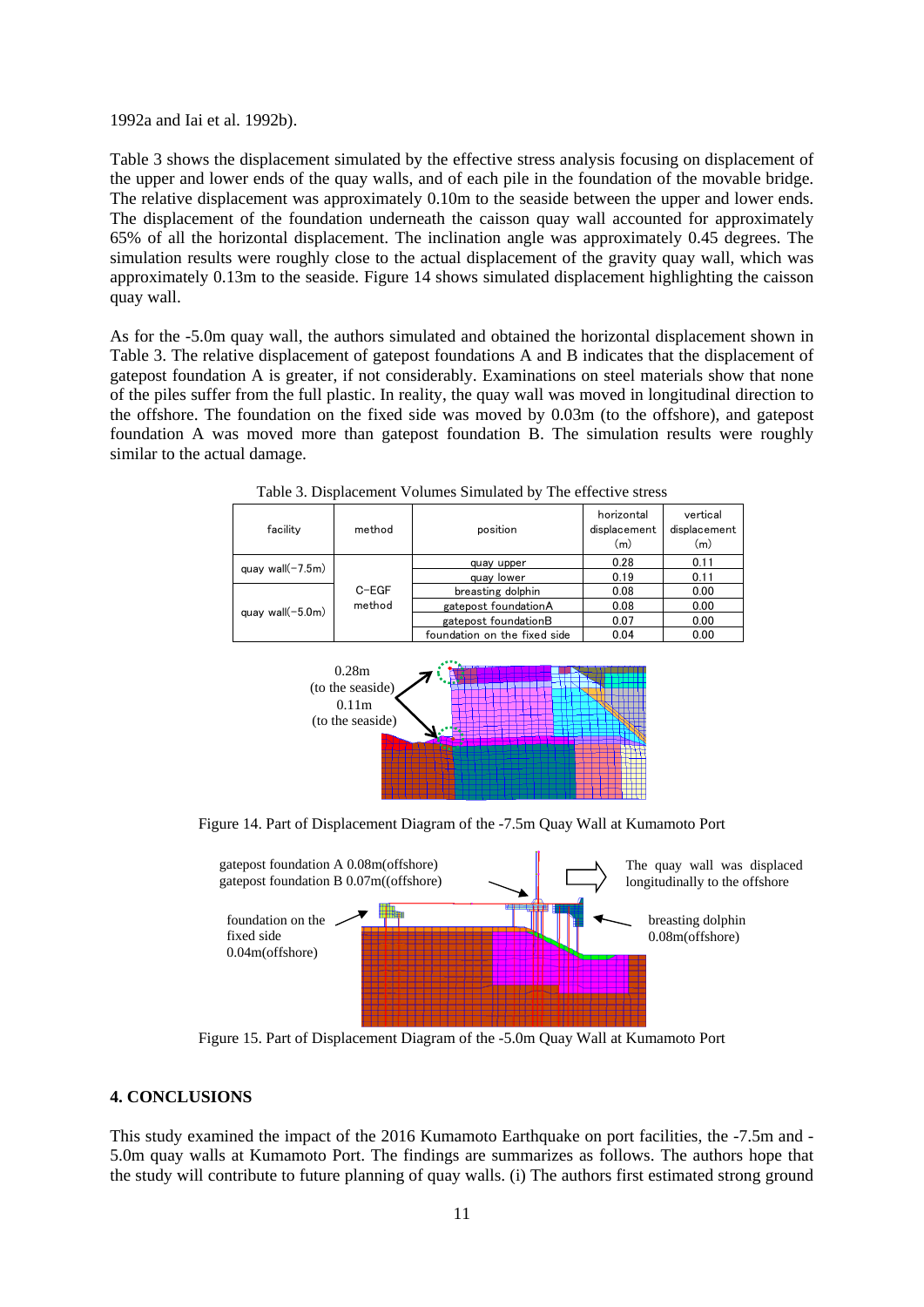1992a and Iai et al. 1992b).

Table 3 shows the displacement simulated by the effective stress analysis focusing on displacement of the upper and lower ends of the quay walls, and of each pile in the foundation of the movable bridge. The relative displacement was approximately 0.10m to the seaside between the upper and lower ends. The displacement of the foundation underneath the caisson quay wall accounted for approximately 65% of all the horizontal displacement. The inclination angle was approximately 0.45 degrees. The simulation results were roughly close to the actual displacement of the gravity quay wall, which was approximately 0.13m to the seaside. Figure 14 shows simulated displacement highlighting the caisson quay wall.

As for the -5.0m quay wall, the authors simulated and obtained the horizontal displacement shown in Table 3. The relative displacement of gatepost foundations A and B indicates that the displacement of gatepost foundation A is greater, if not considerably. Examinations on steel materials show that none of the piles suffer from the full plastic. In reality, the quay wall was moved in longitudinal direction to the offshore. The foundation on the fixed side was moved by 0.03m (to the offshore), and gatepost foundation A was moved more than gatepost foundation B. The simulation results were roughly similar to the actual damage.

| facility            | method  | position                     | horizontal<br>displacement<br>(m) | vertical<br>displacement<br>(m) |
|---------------------|---------|------------------------------|-----------------------------------|---------------------------------|
| quay wall $(-7.5m)$ |         | quay upper                   | 0.28                              | 0.11                            |
|                     |         | quay lower                   | 0.19                              | 0.11                            |
|                     | $C-EGF$ | breasting dolphin            | 0.08                              | 0.00                            |
| quay wall $(-5.0m)$ | method  | gatepost foundationA         | 0.08                              | 0.00                            |
|                     |         | gatepost foundationB         | 0.07                              | 0.00                            |
|                     |         | foundation on the fixed side | 0.04                              | 0.00                            |

Table 3. Displacement Volumes Simulated by The effective stress







Figure 15. Part of Displacement Diagram of the -5.0m Quay Wall at Kumamoto Port

# **4. CONCLUSIONS**

This study examined the impact of the 2016 Kumamoto Earthquake on port facilities, the -7.5m and - 5.0m quay walls at Kumamoto Port. The findings are summarizes as follows. The authors hope that the study will contribute to future planning of quay walls. (i) The authors first estimated strong ground